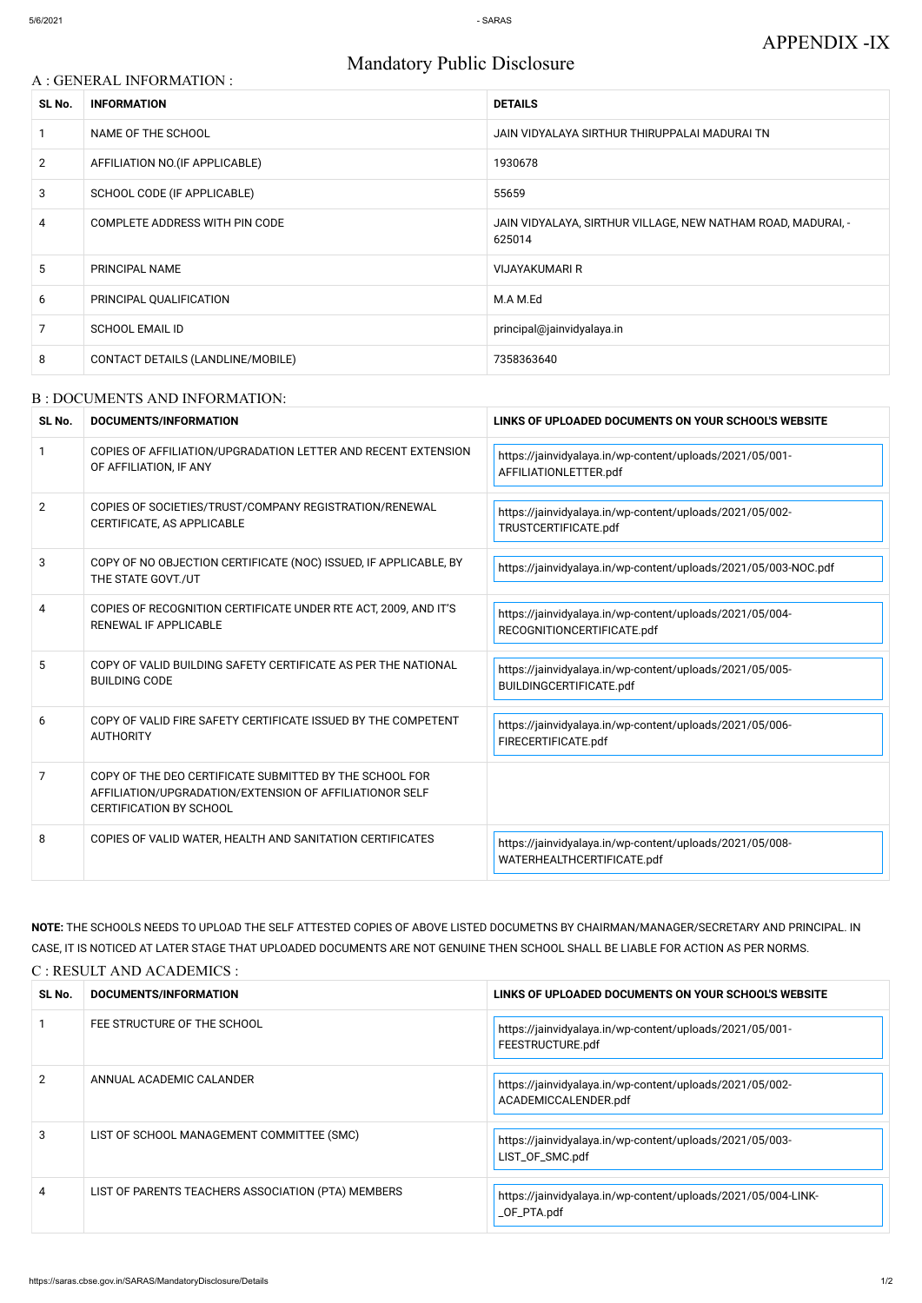# Mandatory Public Disclosure

| A : GENERAL INFORMATION : |                                   |                                                                        |  |
|---------------------------|-----------------------------------|------------------------------------------------------------------------|--|
| SL No.                    | <b>INFORMATION</b>                | <b>DETAILS</b>                                                         |  |
|                           | NAME OF THE SCHOOL                | JAIN VIDYALAYA SIRTHUR THIRUPPALAI MADURAI TN                          |  |
| $\overline{2}$            | AFFILIATION NO. (IF APPLICABLE)   | 1930678                                                                |  |
| 3                         | SCHOOL CODE (IF APPLICABLE)       | 55659                                                                  |  |
| 4                         | COMPLETE ADDRESS WITH PIN CODE    | JAIN VIDYALAYA, SIRTHUR VILLAGE, NEW NATHAM ROAD, MADURAI, -<br>625014 |  |
| $5\phantom{.0}$           | PRINCIPAL NAME                    | <b>VIJAYAKUMARI R</b>                                                  |  |
| 6                         | PRINCIPAL QUALIFICATION           | M.A M.Ed                                                               |  |
| 7                         | <b>SCHOOL EMAIL ID</b>            | principal@jainvidyalaya.in                                             |  |
| 8                         | CONTACT DETAILS (LANDLINE/MOBILE) | 7358363640                                                             |  |

#### B : DOCUMENTS AND INFORMATION:

| SL No.         | DOCUMENTS/INFORMATION                                                                                                                                | LINKS OF UPLOADED DOCUMENTS ON YOUR SCHOOL'S WEBSITE                                   |  |
|----------------|------------------------------------------------------------------------------------------------------------------------------------------------------|----------------------------------------------------------------------------------------|--|
|                | COPIES OF AFFILIATION/UPGRADATION LETTER AND RECENT EXTENSION<br>OF AFFILIATION, IF ANY                                                              | https://jainvidyalaya.in/wp-content/uploads/2021/05/001-<br>AFFILIATIONLETTER.pdf      |  |
| $\overline{2}$ | COPIES OF SOCIETIES/TRUST/COMPANY REGISTRATION/RENEWAL<br>CERTIFICATE, AS APPLICABLE                                                                 | https://jainvidyalaya.in/wp-content/uploads/2021/05/002-<br>TRUSTCERTIFICATE.pdf       |  |
| 3              | COPY OF NO OBJECTION CERTIFICATE (NOC) ISSUED, IF APPLICABLE, BY<br>THE STATE GOVT./UT                                                               | https://jainvidyalaya.in/wp-content/uploads/2021/05/003-NOC.pdf                        |  |
| 4              | COPIES OF RECOGNITION CERTIFICATE UNDER RTE ACT, 2009, AND IT'S<br>RENEWAL IF APPLICABLE                                                             | https://jainvidyalaya.in/wp-content/uploads/2021/05/004-<br>RECOGNITIONCERTIFICATE.pdf |  |
| 5              | COPY OF VALID BUILDING SAFETY CERTIFICATE AS PER THE NATIONAL<br><b>BUILDING CODE</b>                                                                | https://jainvidyalaya.in/wp-content/uploads/2021/05/005-<br>BUILDINGCERTIFICATE.pdf    |  |
| 6              | COPY OF VALID FIRE SAFETY CERTIFICATE ISSUED BY THE COMPETENT<br><b>AUTHORITY</b>                                                                    | https://jainvidyalaya.in/wp-content/uploads/2021/05/006-<br>FIRECERTIFICATE.pdf        |  |
| 7              | COPY OF THE DEO CERTIFICATE SUBMITTED BY THE SCHOOL FOR<br>AFFILIATION/UPGRADATION/EXTENSION OF AFFILIATIONOR SELF<br><b>CERTIFICATION BY SCHOOL</b> |                                                                                        |  |
| 8              | COPIES OF VALID WATER, HEALTH AND SANITATION CERTIFICATES                                                                                            | https://jainvidyalaya.in/wp-content/uploads/2021/05/008-<br>WATERHEALTHCERTIFICATE.pdf |  |

**NOTE:** THE SCHOOLS NEEDS TO UPLOAD THE SELF ATTESTED COPIES OF ABOVE LISTED DOCUMETNS BY CHAIRMAN/MANAGER/SECRETARY AND PRINCIPAL. IN CASE, IT IS NOTICED AT LATER STAGE THAT UPLOADED DOCUMENTS ARE NOT GENUINE THEN SCHOOL SHALL BE LIABLE FOR ACTION AS PER NORMS. C : RESULT AND ACADEMICS :

| SL No. | DOCUMENTS/INFORMATION                              | LINKS OF UPLOADED DOCUMENTS ON YOUR SCHOOL'S WEBSITE                             |
|--------|----------------------------------------------------|----------------------------------------------------------------------------------|
|        | FEE STRUCTURE OF THE SCHOOL                        | https://jainvidyalaya.in/wp-content/uploads/2021/05/001-<br>FEESTRUCTURE.pdf     |
| 2      | ANNUAL ACADEMIC CALANDER                           | https://jainvidyalaya.in/wp-content/uploads/2021/05/002-<br>ACADEMICCALENDER.pdf |
| 3      | LIST OF SCHOOL MANAGEMENT COMMITTEE (SMC)          | https://jainvidyalaya.in/wp-content/uploads/2021/05/003-<br>LIST_OF_SMC.pdf      |
| 4      | LIST OF PARENTS TEACHERS ASSOCIATION (PTA) MEMBERS | https://jainvidyalaya.in/wp-content/uploads/2021/05/004-LINK-<br>_OF_PTA.pdf     |